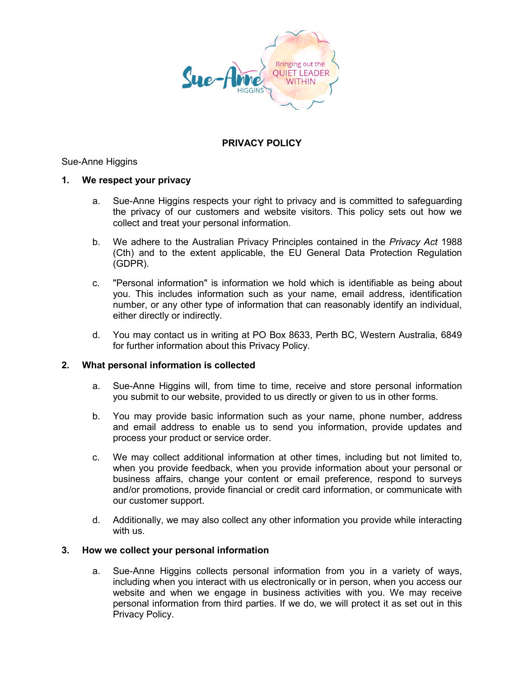

# **PRIVACY POLICY**

# Sue-Anne Higgins

### **1. We respect your privacy**

- a. Sue-Anne Higgins respects your right to privacy and is committed to safeguarding the privacy of our customers and website visitors. This policy sets out how we collect and treat your personal information.
- b. We adhere to the Australian Privacy Principles contained in the *Privacy Act* 1988 (Cth) and to the extent applicable, the EU General Data Protection Regulation (GDPR).
- c. "Personal information" is information we hold which is identifiable as being about you. This includes information such as your name, email address, identification number, or any other type of information that can reasonably identify an individual, either directly or indirectly.
- d. You may contact us in writing at PO Box 8633, Perth BC, Western Australia, 6849 for further information about this Privacy Policy.

#### **2. What personal information is collected**

- a. Sue-Anne Higgins will, from time to time, receive and store personal information you submit to our website, provided to us directly or given to us in other forms.
- b. You may provide basic information such as your name, phone number, address and email address to enable us to send you information, provide updates and process your product or service order.
- c. We may collect additional information at other times, including but not limited to, when you provide feedback, when you provide information about your personal or business affairs, change your content or email preference, respond to surveys and/or promotions, provide financial or credit card information, or communicate with our customer support.
- d. Additionally, we may also collect any other information you provide while interacting with us.

# **3. How we collect your personal information**

a. Sue-Anne Higgins collects personal information from you in a variety of ways, including when you interact with us electronically or in person, when you access our website and when we engage in business activities with you. We may receive personal information from third parties. If we do, we will protect it as set out in this Privacy Policy.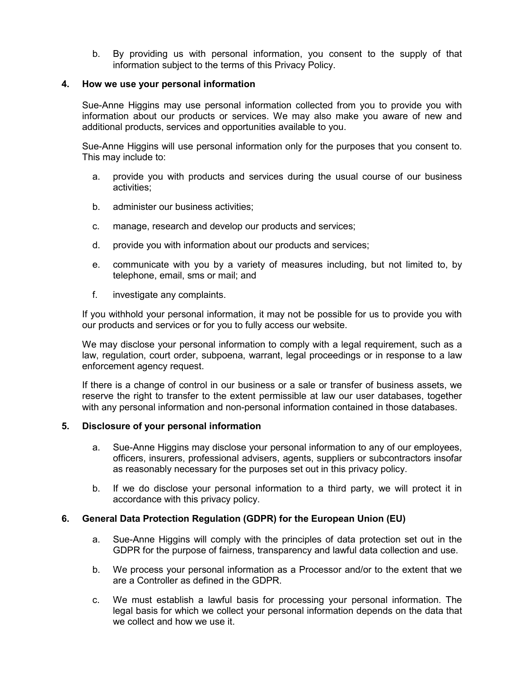b. By providing us with personal information, you consent to the supply of that information subject to the terms of this Privacy Policy.

#### **4. How we use your personal information**

Sue-Anne Higgins may use personal information collected from you to provide you with information about our products or services. We may also make you aware of new and additional products, services and opportunities available to you.

Sue-Anne Higgins will use personal information only for the purposes that you consent to. This may include to:

- a. provide you with products and services during the usual course of our business activities;
- b. administer our business activities;
- c. manage, research and develop our products and services;
- d. provide you with information about our products and services;
- e. communicate with you by a variety of measures including, but not limited to, by telephone, email, sms or mail; and
- f. investigate any complaints.

If you withhold your personal information, it may not be possible for us to provide you with our products and services or for you to fully access our website.

We may disclose your personal information to comply with a legal requirement, such as a law, regulation, court order, subpoena, warrant, legal proceedings or in response to a law enforcement agency request.

If there is a change of control in our business or a sale or transfer of business assets, we reserve the right to transfer to the extent permissible at law our user databases, together with any personal information and non-personal information contained in those databases.

#### **5. Disclosure of your personal information**

- a. Sue-Anne Higgins may disclose your personal information to any of our employees, officers, insurers, professional advisers, agents, suppliers or subcontractors insofar as reasonably necessary for the purposes set out in this privacy policy.
- b. If we do disclose your personal information to a third party, we will protect it in accordance with this privacy policy.

# **6. General Data Protection Regulation (GDPR) for the European Union (EU)**

- a. Sue-Anne Higgins will comply with the principles of data protection set out in the GDPR for the purpose of fairness, transparency and lawful data collection and use.
- b. We process your personal information as a Processor and/or to the extent that we are a Controller as defined in the GDPR.
- c. We must establish a lawful basis for processing your personal information. The legal basis for which we collect your personal information depends on the data that we collect and how we use it.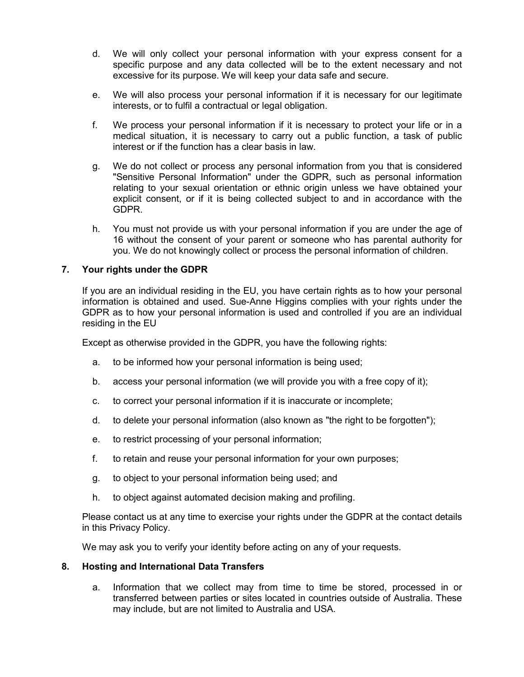- d. We will only collect your personal information with your express consent for a specific purpose and any data collected will be to the extent necessary and not excessive for its purpose. We will keep your data safe and secure.
- e. We will also process your personal information if it is necessary for our legitimate interests, or to fulfil a contractual or legal obligation.
- f. We process your personal information if it is necessary to protect your life or in a medical situation, it is necessary to carry out a public function, a task of public interest or if the function has a clear basis in law.
- g. We do not collect or process any personal information from you that is considered "Sensitive Personal Information" under the GDPR, such as personal information relating to your sexual orientation or ethnic origin unless we have obtained your explicit consent, or if it is being collected subject to and in accordance with the GDPR.
- h. You must not provide us with your personal information if you are under the age of 16 without the consent of your parent or someone who has parental authority for you. We do not knowingly collect or process the personal information of children.

# **7. Your rights under the GDPR**

If you are an individual residing in the EU, you have certain rights as to how your personal information is obtained and used. Sue-Anne Higgins complies with your rights under the GDPR as to how your personal information is used and controlled if you are an individual residing in the EU

Except as otherwise provided in the GDPR, you have the following rights:

- a. to be informed how your personal information is being used;
- b. access your personal information (we will provide you with a free copy of it);
- c. to correct your personal information if it is inaccurate or incomplete;
- d. to delete your personal information (also known as "the right to be forgotten");
- e. to restrict processing of your personal information;
- f. to retain and reuse your personal information for your own purposes;
- g. to object to your personal information being used; and
- h. to object against automated decision making and profiling.

Please contact us at any time to exercise your rights under the GDPR at the contact details in this Privacy Policy.

We may ask you to verify your identity before acting on any of your requests.

# **8. Hosting and International Data Transfers**

a. Information that we collect may from time to time be stored, processed in or transferred between parties or sites located in countries outside of Australia. These may include, but are not limited to Australia and USA.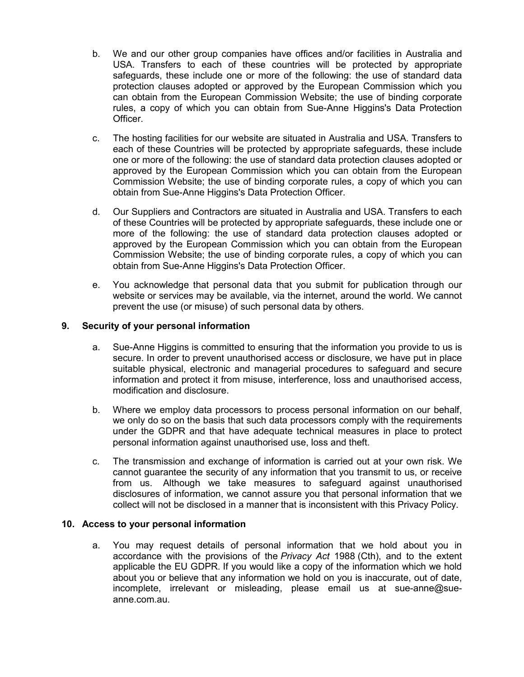- b. We and our other group companies have offices and/or facilities in Australia and USA. Transfers to each of these countries will be protected by appropriate safeguards, these include one or more of the following: the use of standard data protection clauses adopted or approved by the European Commission which you can obtain from the European Commission Website; the use of binding corporate rules, a copy of which you can obtain from Sue-Anne Higgins's Data Protection Officer.
- c. The hosting facilities for our website are situated in Australia and USA. Transfers to each of these Countries will be protected by appropriate safeguards, these include one or more of the following: the use of standard data protection clauses adopted or approved by the European Commission which you can obtain from the European Commission Website; the use of binding corporate rules, a copy of which you can obtain from Sue-Anne Higgins's Data Protection Officer.
- d. Our Suppliers and Contractors are situated in Australia and USA. Transfers to each of these Countries will be protected by appropriate safeguards, these include one or more of the following: the use of standard data protection clauses adopted or approved by the European Commission which you can obtain from the European Commission Website; the use of binding corporate rules, a copy of which you can obtain from Sue-Anne Higgins's Data Protection Officer.
- e. You acknowledge that personal data that you submit for publication through our website or services may be available, via the internet, around the world. We cannot prevent the use (or misuse) of such personal data by others.

# **9. Security of your personal information**

- a. Sue-Anne Higgins is committed to ensuring that the information you provide to us is secure. In order to prevent unauthorised access or disclosure, we have put in place suitable physical, electronic and managerial procedures to safeguard and secure information and protect it from misuse, interference, loss and unauthorised access, modification and disclosure.
- b. Where we employ data processors to process personal information on our behalf, we only do so on the basis that such data processors comply with the requirements under the GDPR and that have adequate technical measures in place to protect personal information against unauthorised use, loss and theft.
- c. The transmission and exchange of information is carried out at your own risk. We cannot guarantee the security of any information that you transmit to us, or receive from us. Although we take measures to safeguard against unauthorised disclosures of information, we cannot assure you that personal information that we collect will not be disclosed in a manner that is inconsistent with this Privacy Policy.

#### **10. Access to your personal information**

a. You may request details of personal information that we hold about you in accordance with the provisions of the *Privacy Act* 1988 (Cth), and to the extent applicable the EU GDPR. If you would like a copy of the information which we hold about you or believe that any information we hold on you is inaccurate, out of date, incomplete, irrelevant or misleading, please email us at sue-anne@sueanne.com.au.